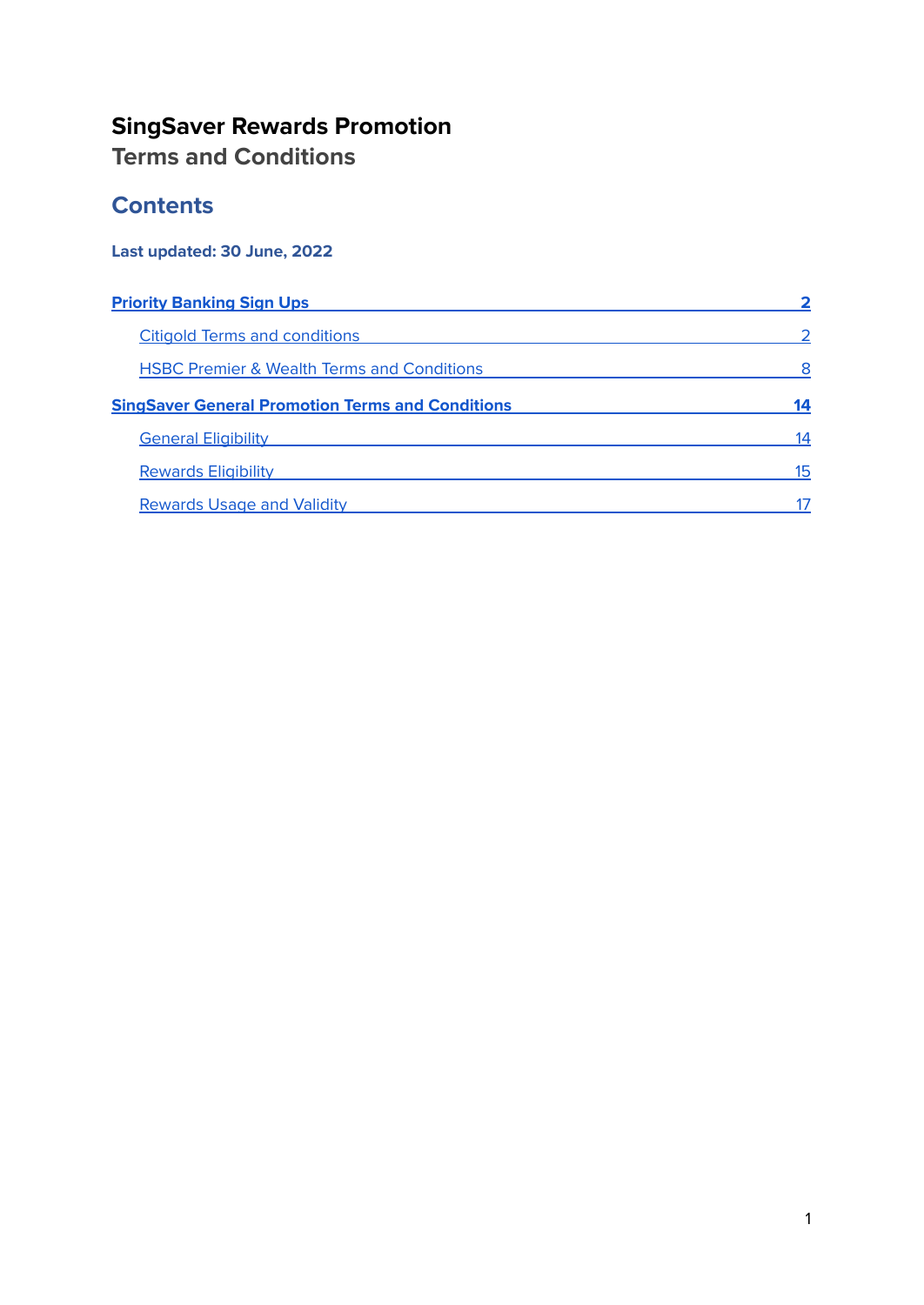### **SingSaver Rewards Promotion Terms and Conditions**

### **Contents**

### **Last updated: 30 June, 2022**

| <b>Priority Banking Sign Ups</b>                        |    |  |
|---------------------------------------------------------|----|--|
| <b>Citigold Terms and conditions</b>                    |    |  |
| <b>HSBC Premier &amp; Wealth Terms and Conditions</b>   | 8  |  |
| <b>SingSaver General Promotion Terms and Conditions</b> | 14 |  |
| <b>General Eligibility</b>                              | 14 |  |
| <b>Rewards Eligibility</b>                              | 15 |  |
| <b>Rewards Usage and Validity</b>                       |    |  |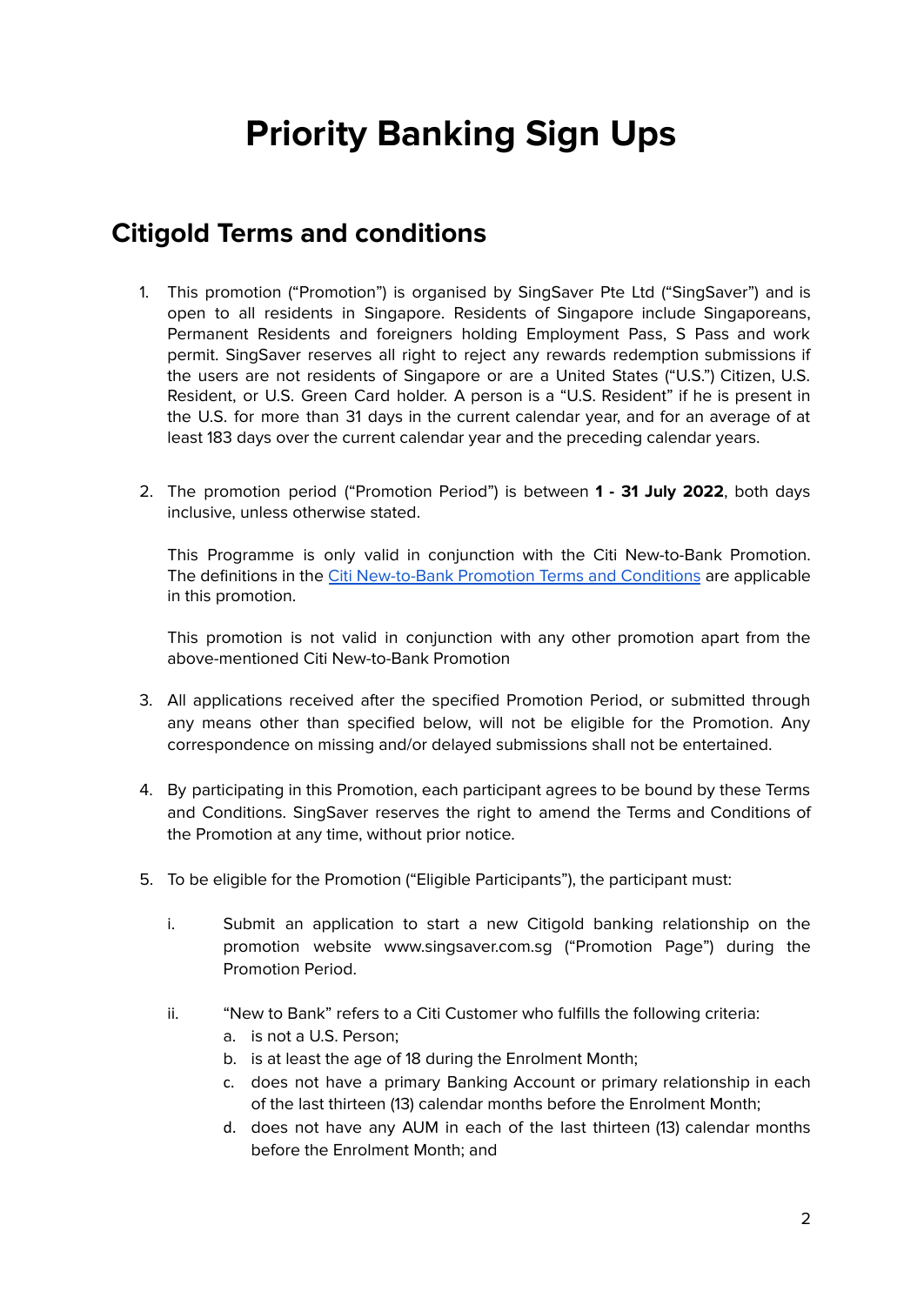# **Priority Banking Sign Ups**

### <span id="page-1-1"></span><span id="page-1-0"></span>**Citigold Terms and conditions**

- 1. This promotion ("Promotion") is organised by SingSaver Pte Ltd ("SingSaver") and is open to all residents in Singapore. Residents of Singapore include Singaporeans, Permanent Residents and foreigners holding Employment Pass, S Pass and work permit. SingSaver reserves all right to reject any rewards redemption submissions if the users are not residents of Singapore or are a United States ("U.S.") Citizen, U.S. Resident, or U.S. Green Card holder. A person is a "U.S. Resident" if he is present in the U.S. for more than 31 days in the current calendar year, and for an average of at least 183 days over the current calendar year and the preceding calendar years.
- 2. The promotion period ("Promotion Period") is between **1 - 31 July 2022**, both days inclusive, unless otherwise stated.

This Programme is only valid in conjunction with the Citi New-to-Bank Promotion. The definitions in the Citi [New-to-Bank](https://www.citibank.com.sg/global_docs/pdf/CG-wc-promo2.pdf) Promotion Terms and Conditions are applicable in this promotion.

This promotion is not valid in conjunction with any other promotion apart from the above-mentioned Citi New-to-Bank Promotion

- 3. All applications received after the specified Promotion Period, or submitted through any means other than specified below, will not be eligible for the Promotion. Any correspondence on missing and/or delayed submissions shall not be entertained.
- 4. By participating in this Promotion, each participant agrees to be bound by these Terms and Conditions. SingSaver reserves the right to amend the Terms and Conditions of the Promotion at any time, without prior notice.
- 5. To be eligible for the Promotion ("Eligible Participants"), the participant must:
	- i. Submit an application to start a new Citigold banking relationship on the promotion website www.singsaver.com.sg ("Promotion Page") during the Promotion Period.
	- ii. "New to Bank" refers to a Citi Customer who fulfills the following criteria:
		- a. is not a U.S. Person;
		- b. is at least the age of 18 during the Enrolment Month;
		- c. does not have a primary Banking Account or primary relationship in each of the last thirteen (13) calendar months before the Enrolment Month;
		- d. does not have any AUM in each of the last thirteen (13) calendar months before the Enrolment Month; and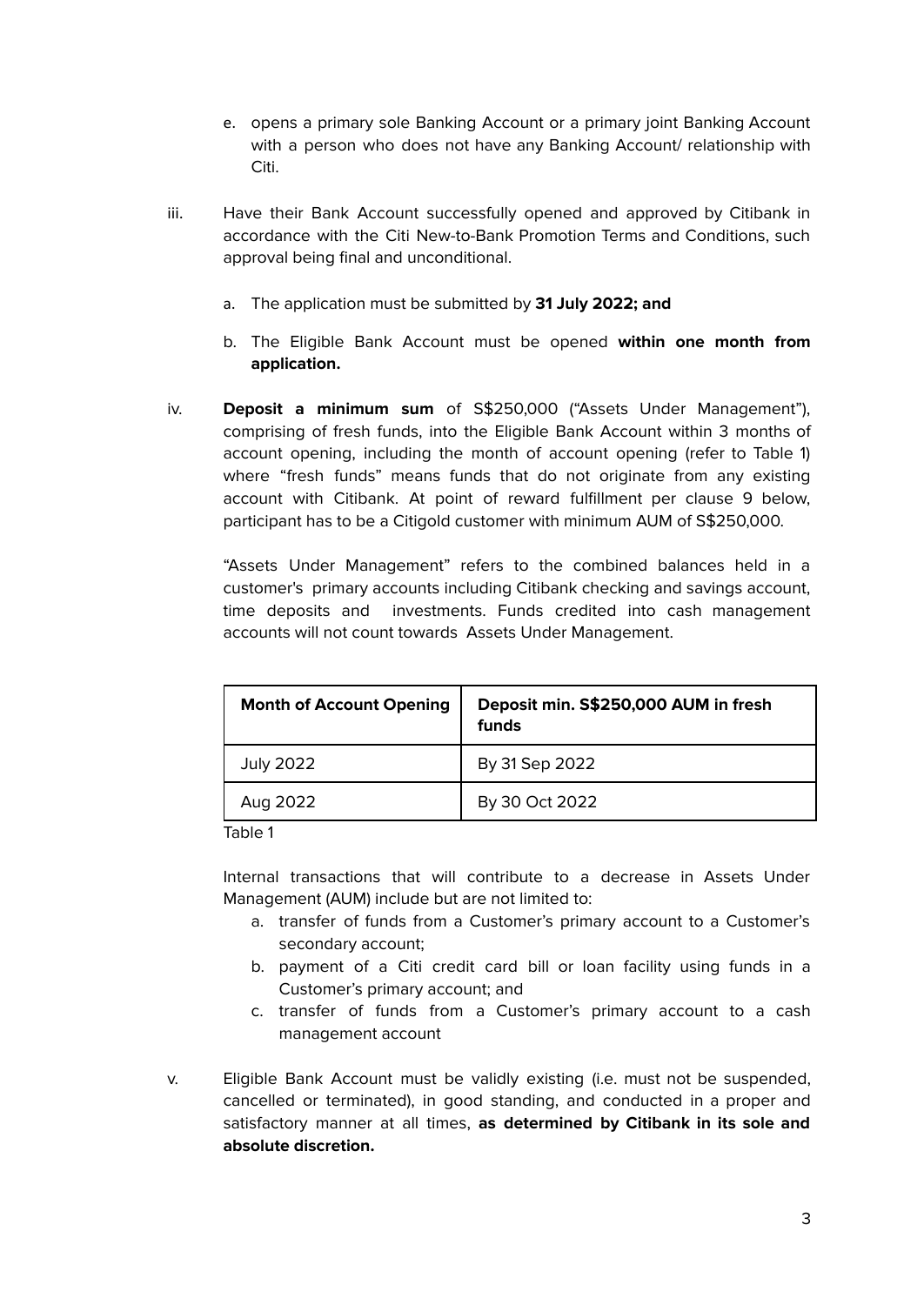- e. opens a primary sole Banking Account or a primary joint Banking Account with a person who does not have any Banking Account/ relationship with Citi.
- iii. Have their Bank Account successfully opened and approved by Citibank in accordance with the Citi New-to-Bank Promotion Terms and Conditions, such approval being final and unconditional.
	- a. The application must be submitted by **31 July 2022; and**
	- b. The Eligible Bank Account must be opened **within one month from application.**
- iv. **Deposit a minimum sum** of S\$250,000 ("Assets Under Management"), comprising of fresh funds, into the Eligible Bank Account within 3 months of account opening, including the month of account opening (refer to Table 1) where "fresh funds" means funds that do not originate from any existing account with Citibank. At point of reward fulfillment per clause 9 below, participant has to be a Citigold customer with minimum AUM of S\$250,000.

"Assets Under Management" refers to the combined balances held in a customer's primary accounts including Citibank checking and savings account, time deposits and investments. Funds credited into cash management accounts will not count towards Assets Under Management.

| <b>Month of Account Opening</b> | Deposit min. S\$250,000 AUM in fresh<br>funds |
|---------------------------------|-----------------------------------------------|
| <b>July 2022</b>                | By 31 Sep 2022                                |
| Aug 2022                        | By 30 Oct 2022                                |

Table 1

Internal transactions that will contribute to a decrease in Assets Under Management (AUM) include but are not limited to:

- a. transfer of funds from a Customer's primary account to a Customer's secondary account;
- b. payment of a Citi credit card bill or loan facility using funds in a Customer's primary account; and
- c. transfer of funds from a Customer's primary account to a cash management account
- v. Eligible Bank Account must be validly existing (i.e. must not be suspended, cancelled or terminated), in good standing, and conducted in a proper and satisfactory manner at all times, **as determined by Citibank in its sole and absolute discretion.**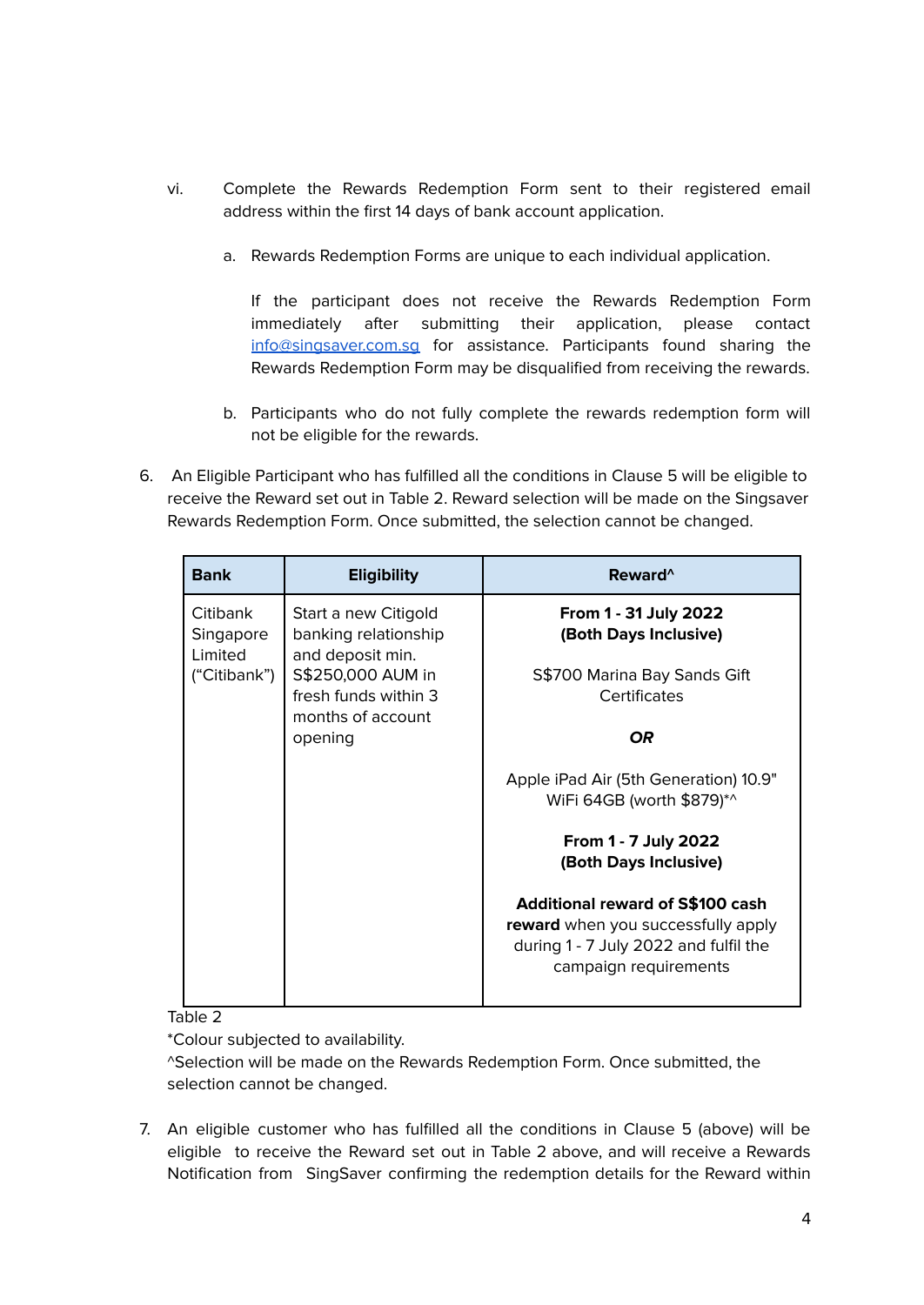- vi. Complete the Rewards Redemption Form sent to their registered email address within the first 14 days of bank account application.
	- a. Rewards Redemption Forms are unique to each individual application.

If the participant does not receive the Rewards Redemption Form immediately after submitting their application, please contact [info@singsaver.com.sg](mailto:info@singsaver.com.sg) for assistance. Participants found sharing the Rewards Redemption Form may be disqualified from receiving the rewards.

- b. Participants who do not fully complete the rewards redemption form will not be eligible for the rewards.
- 6. An Eligible Participant who has fulfilled all the conditions in Clause 5 will be eligible to receive the Reward set out in Table 2. Reward selection will be made on the Singsaver Rewards Redemption Form. Once submitted, the selection cannot be changed.

| <b>Bank</b>                      | <b>Eligibility</b>                                               | Reward <sup>^</sup>                                                                                                                             |
|----------------------------------|------------------------------------------------------------------|-------------------------------------------------------------------------------------------------------------------------------------------------|
| Citibank<br>Singapore<br>Limited | Start a new Citigold<br>banking relationship<br>and deposit min. | From 1 - 31 July 2022<br>(Both Days Inclusive)                                                                                                  |
| ("Citibank")                     | S\$250,000 AUM in<br>fresh funds within 3<br>months of account   | S\$700 Marina Bay Sands Gift<br>Certificates                                                                                                    |
|                                  | opening                                                          | OR                                                                                                                                              |
|                                  |                                                                  | Apple iPad Air (5th Generation) 10.9"<br>WiFi 64GB (worth \$879)*^                                                                              |
|                                  |                                                                  | From 1 - 7 July 2022<br>(Both Days Inclusive)                                                                                                   |
|                                  |                                                                  | <b>Additional reward of S\$100 cash</b><br>reward when you successfully apply<br>during 1 - 7 July 2022 and fulfil the<br>campaign requirements |

Table 2

\*Colour subjected to availability.

^Selection will be made on the Rewards Redemption Form. Once submitted, the selection cannot be changed.

7. An eligible customer who has fulfilled all the conditions in Clause 5 (above) will be eligible to receive the Reward set out in Table 2 above, and will receive a Rewards Notification from SingSaver confirming the redemption details for the Reward within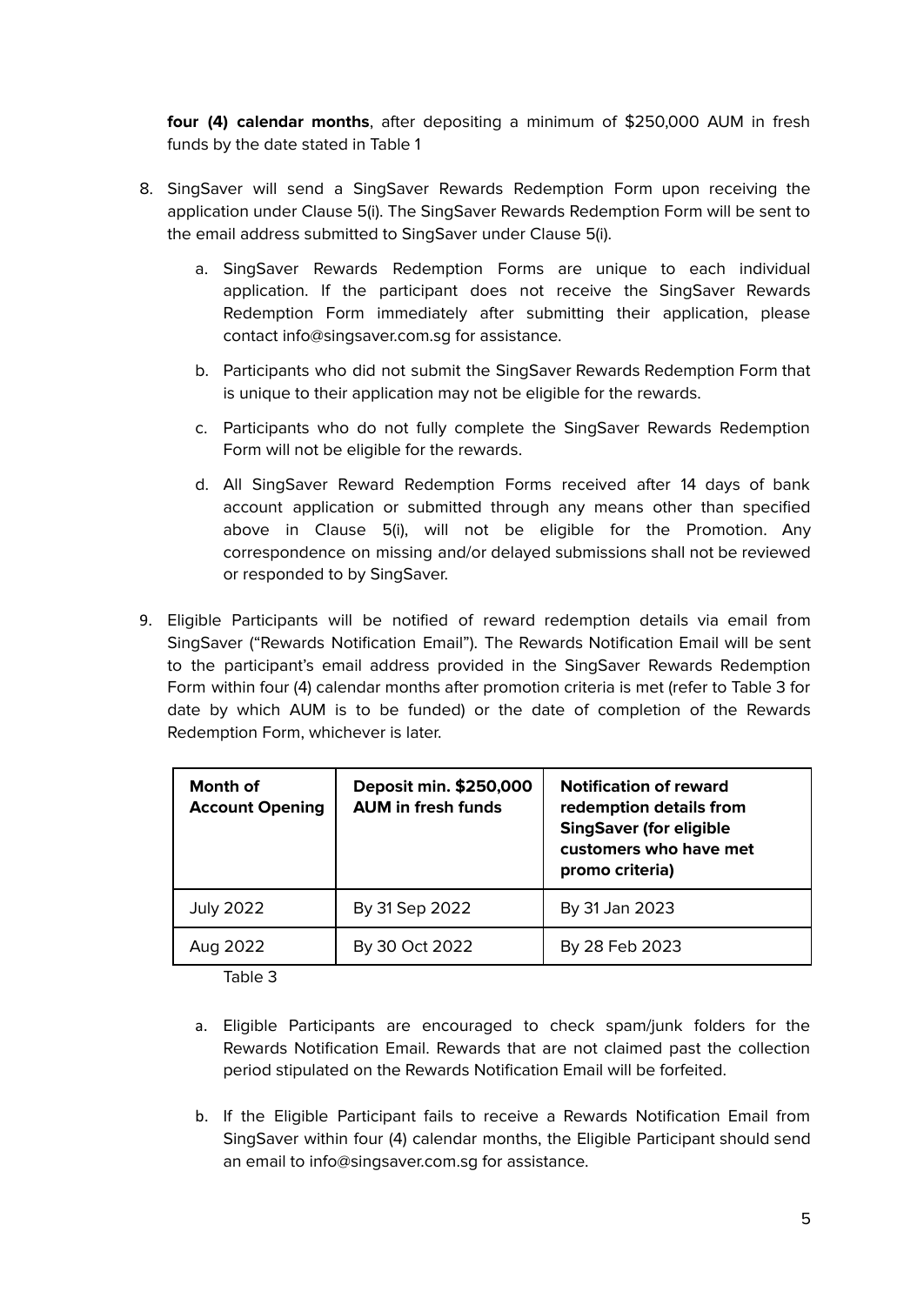**four (4) calendar months**, after depositing a minimum of \$250,000 AUM in fresh funds by the date stated in Table 1

- 8. SingSaver will send a SingSaver Rewards Redemption Form upon receiving the application under Clause 5(i). The SingSaver Rewards Redemption Form will be sent to the email address submitted to SingSaver under Clause 5(i).
	- a. SingSaver Rewards Redemption Forms are unique to each individual application. If the participant does not receive the SingSaver Rewards Redemption Form immediately after submitting their application, please contact info@singsaver.com.sg for assistance.
	- b. Participants who did not submit the SingSaver Rewards Redemption Form that is unique to their application may not be eligible for the rewards.
	- c. Participants who do not fully complete the SingSaver Rewards Redemption Form will not be eligible for the rewards.
	- d. All SingSaver Reward Redemption Forms received after 14 days of bank account application or submitted through any means other than specified above in Clause 5(i), will not be eligible for the Promotion. Any correspondence on missing and/or delayed submissions shall not be reviewed or responded to by SingSaver.
- 9. Eligible Participants will be notified of reward redemption details via email from SingSaver ("Rewards Notification Email"). The Rewards Notification Email will be sent to the participant's email address provided in the SingSaver Rewards Redemption Form within four (4) calendar months after promotion criteria is met (refer to Table 3 for date by which AUM is to be funded) or the date of completion of the Rewards Redemption Form, whichever is later.

| <b>Month of</b><br><b>Account Opening</b> | Deposit min. \$250,000<br><b>AUM in fresh funds</b> | <b>Notification of reward</b><br>redemption details from<br><b>SingSaver (for eligible</b><br>customers who have met<br>promo criteria) |
|-------------------------------------------|-----------------------------------------------------|-----------------------------------------------------------------------------------------------------------------------------------------|
| <b>July 2022</b>                          | By 31 Sep 2022                                      | By 31 Jan 2023                                                                                                                          |
| Aug 2022                                  | By 30 Oct 2022                                      | By 28 Feb 2023                                                                                                                          |

Table 3

- a. Eligible Participants are encouraged to check spam/junk folders for the Rewards Notification Email. Rewards that are not claimed past the collection period stipulated on the Rewards Notification Email will be forfeited.
- b. If the Eligible Participant fails to receive a Rewards Notification Email from SingSaver within four (4) calendar months, the Eligible Participant should send an email to info@singsaver.com.sg for assistance.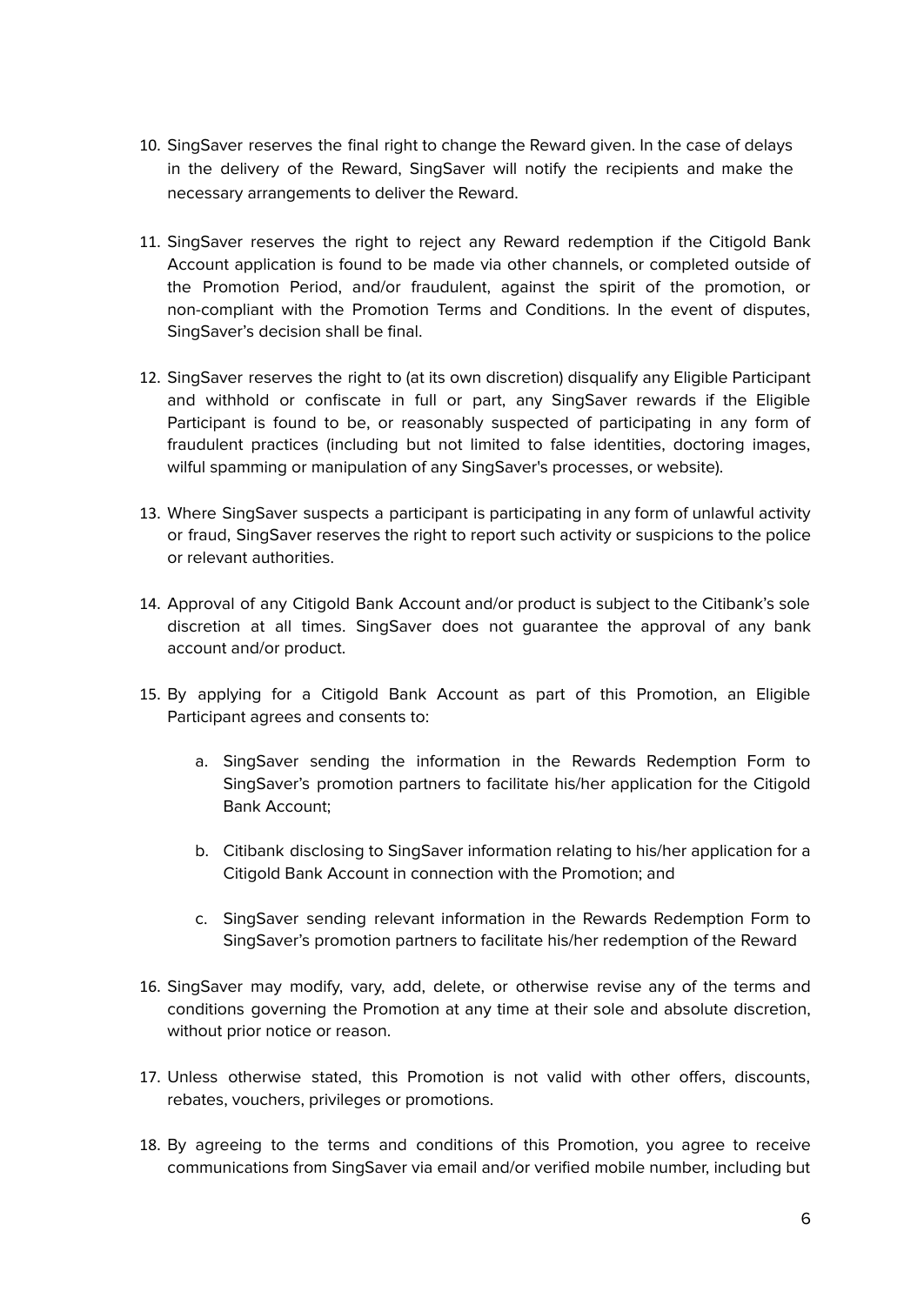- 10. SingSaver reserves the final right to change the Reward given. In the case of delays in the delivery of the Reward, SingSaver will notify the recipients and make the necessary arrangements to deliver the Reward.
- 11. SingSaver reserves the right to reject any Reward redemption if the Citigold Bank Account application is found to be made via other channels, or completed outside of the Promotion Period, and/or fraudulent, against the spirit of the promotion, or non-compliant with the Promotion Terms and Conditions. In the event of disputes, SingSaver's decision shall be final.
- 12. SingSaver reserves the right to (at its own discretion) disqualify any Eligible Participant and withhold or confiscate in full or part, any SingSaver rewards if the Eligible Participant is found to be, or reasonably suspected of participating in any form of fraudulent practices (including but not limited to false identities, doctoring images, wilful spamming or manipulation of any SingSaver's processes, or website).
- 13. Where SingSaver suspects a participant is participating in any form of unlawful activity or fraud, SingSaver reserves the right to report such activity or suspicions to the police or relevant authorities.
- 14. Approval of any Citigold Bank Account and/or product is subject to the Citibank's sole discretion at all times. SingSaver does not guarantee the approval of any bank account and/or product.
- 15. By applying for a Citigold Bank Account as part of this Promotion, an Eligible Participant agrees and consents to:
	- a. SingSaver sending the information in the Rewards Redemption Form to SingSaver's promotion partners to facilitate his/her application for the Citigold Bank Account;
	- b. Citibank disclosing to SingSaver information relating to his/her application for a Citigold Bank Account in connection with the Promotion; and
	- c. SingSaver sending relevant information in the Rewards Redemption Form to SingSaver's promotion partners to facilitate his/her redemption of the Reward
- 16. SingSaver may modify, vary, add, delete, or otherwise revise any of the terms and conditions governing the Promotion at any time at their sole and absolute discretion, without prior notice or reason.
- 17. Unless otherwise stated, this Promotion is not valid with other offers, discounts, rebates, vouchers, privileges or promotions.
- 18. By agreeing to the terms and conditions of this Promotion, you agree to receive communications from SingSaver via email and/or verified mobile number, including but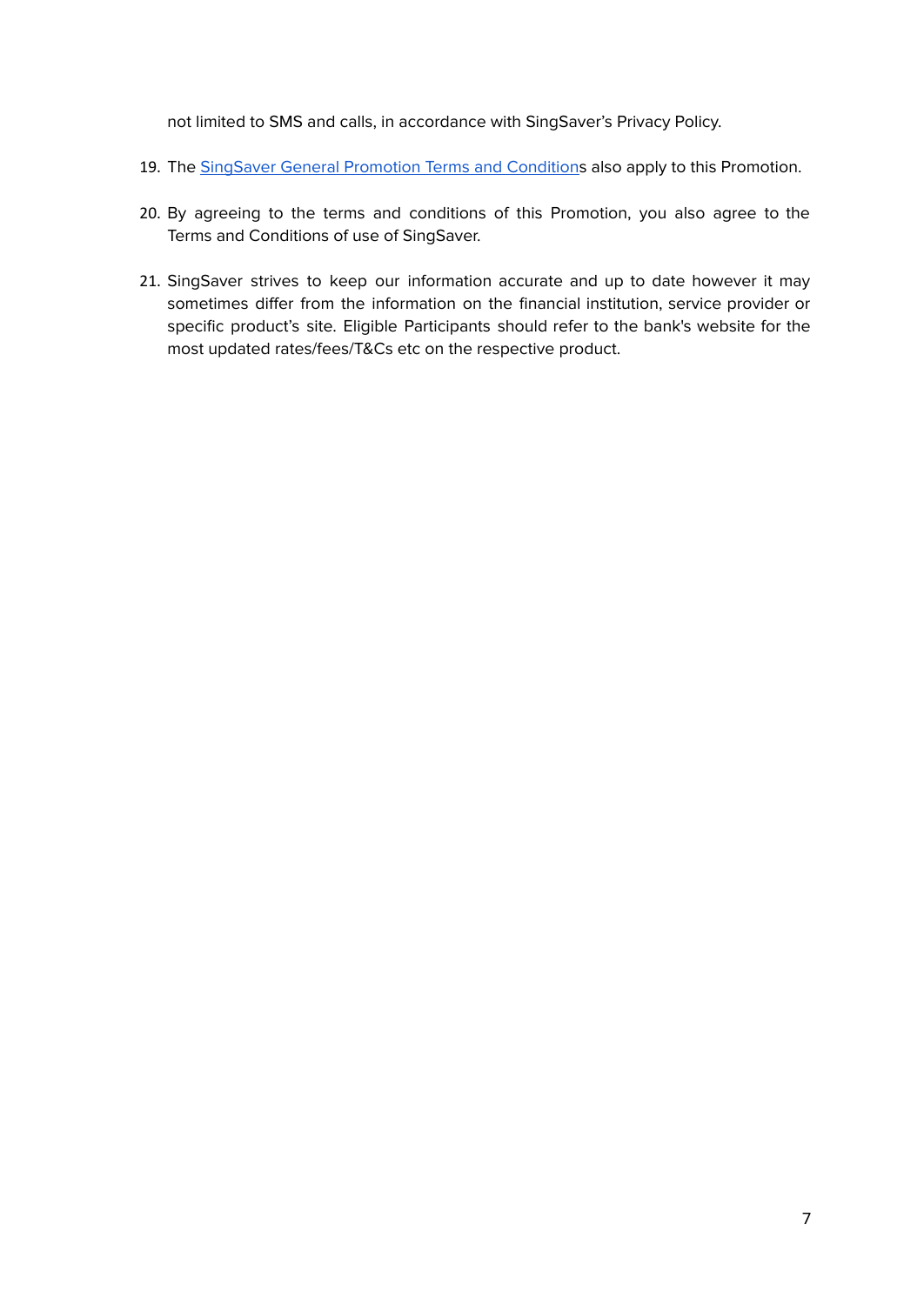not limited to SMS and calls, in accordance with SingSaver's Privacy Policy.

- 19. The SingSaver General [Promotion](#page-13-0) Terms and Conditions also apply to this Promotion.
- 20. By agreeing to the terms and conditions of this Promotion, you also agree to the Terms and Conditions of use of SingSaver.
- 21. SingSaver strives to keep our information accurate and up to date however it may sometimes differ from the information on the financial institution, service provider or specific product's site. Eligible Participants should refer to the bank's website for the most updated rates/fees/T&Cs etc on the respective product.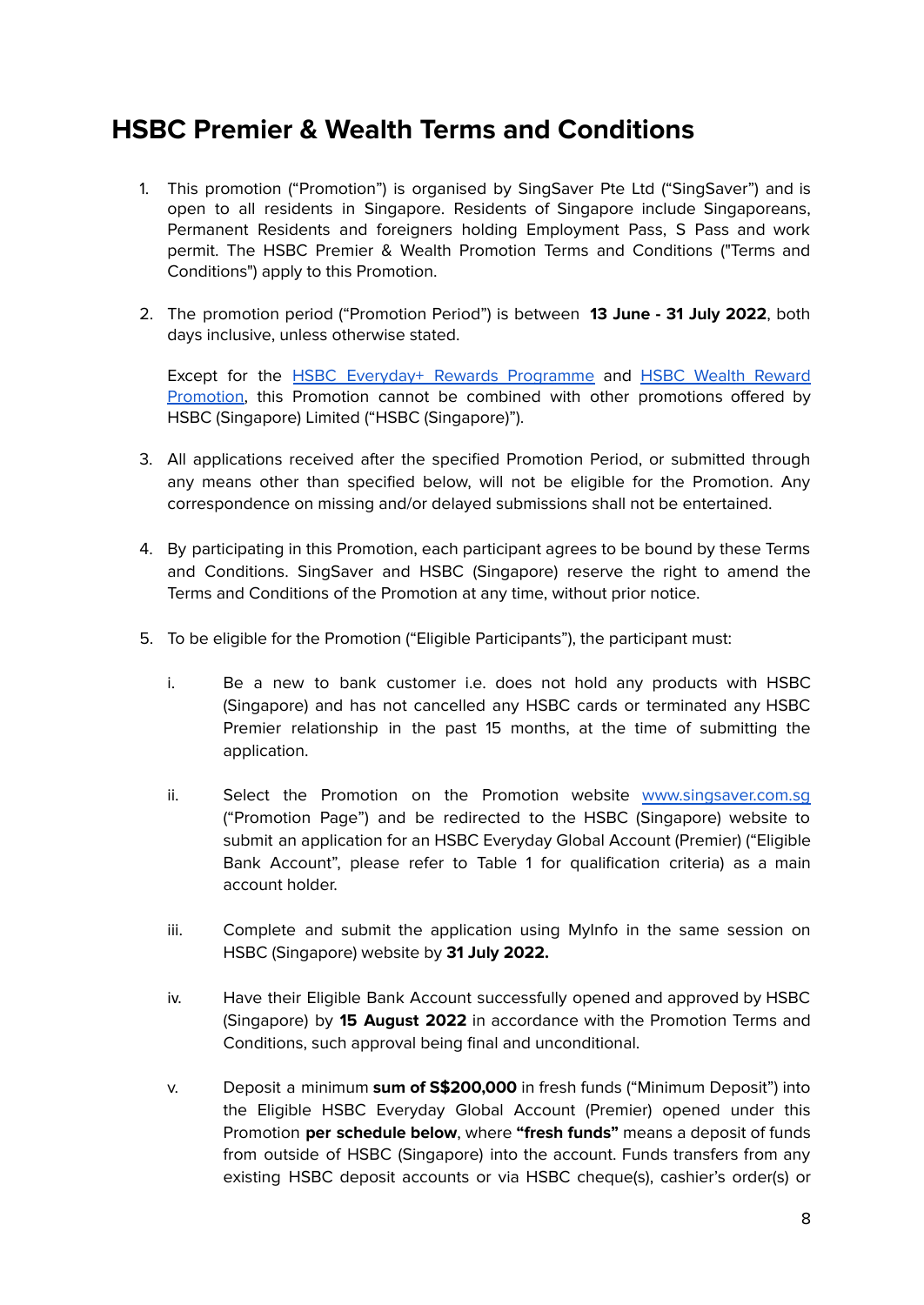## <span id="page-7-0"></span>**HSBC Premier & Wealth Terms and Conditions**

- 1. This promotion ("Promotion") is organised by SingSaver Pte Ltd ("SingSaver") and is open to all residents in Singapore. Residents of Singapore include Singaporeans, Permanent Residents and foreigners holding Employment Pass, S Pass and work permit. The HSBC Premier & Wealth Promotion Terms and Conditions ("Terms and Conditions") apply to this Promotion.
- 2. The promotion period ("Promotion Period") is between **13 June - 31 July 2022**, both days inclusive, unless otherwise stated.

Except for the **HSBC Everyday+ Rewards [Programme](https://cdn.hsbc.com.sg/content/dam/hsbc/sg/documents/accounts/everyday-global/terms-and-conditions-governing-everydayrewards-programme.pdf) and HSBC Wealth [Reward](https://cdn.hsbc.com.sg/content/dam/hsbc/sg/documents/wealth/offers/q3-2021-wealth-reward-promtion-terms-and-conditions.pdf)** [Promotion,](https://cdn.hsbc.com.sg/content/dam/hsbc/sg/documents/wealth/offers/q3-2021-wealth-reward-promtion-terms-and-conditions.pdf) this Promotion cannot be combined with other promotions offered by HSBC (Singapore) Limited ("HSBC (Singapore)").

- 3. All applications received after the specified Promotion Period, or submitted through any means other than specified below, will not be eligible for the Promotion. Any correspondence on missing and/or delayed submissions shall not be entertained.
- 4. By participating in this Promotion, each participant agrees to be bound by these Terms and Conditions. SingSaver and HSBC (Singapore) reserve the right to amend the Terms and Conditions of the Promotion at any time, without prior notice.
- 5. To be eligible for the Promotion ("Eligible Participants"), the participant must:
	- i. Be a new to bank customer i.e. does not hold any products with HSBC (Singapore) and has not cancelled any HSBC cards or terminated any HSBC Premier relationship in the past 15 months, at the time of submitting the application.
	- ii. Select the Promotion on the Promotion website [www.singsaver.com.sg](http://www.singsaver.com.sg/) ("Promotion Page") and be redirected to the HSBC (Singapore) website to submit an application for an HSBC Everyday Global Account (Premier) ("Eligible Bank Account", please refer to Table 1 for qualification criteria) as a main account holder.
	- iii. Complete and submit the application using MyInfo in the same session on HSBC (Singapore) website by **31 July 2022.**
	- iv. Have their Eligible Bank Account successfully opened and approved by HSBC (Singapore) by **15 August 2022** in accordance with the Promotion Terms and Conditions, such approval being final and unconditional.
	- v. Deposit a minimum **sum of S\$200,000** in fresh funds ("Minimum Deposit") into the Eligible HSBC Everyday Global Account (Premier) opened under this Promotion **per schedule below**, where **"fresh funds"** means a deposit of funds from outside of HSBC (Singapore) into the account. Funds transfers from any existing HSBC deposit accounts or via HSBC cheque(s), cashier's order(s) or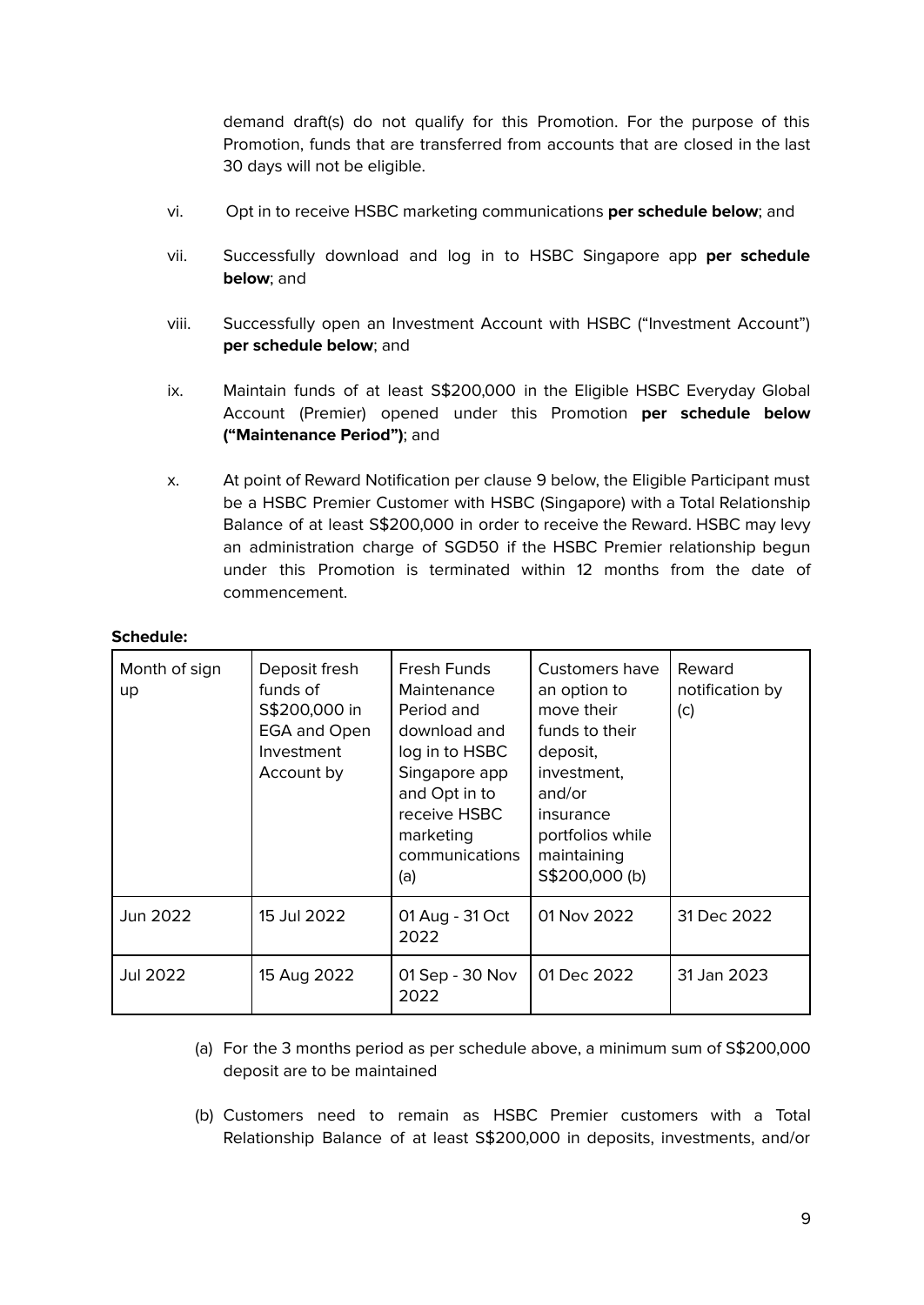demand draft(s) do not qualify for this Promotion. For the purpose of this Promotion, funds that are transferred from accounts that are closed in the last 30 days will not be eligible.

- vi. Opt in to receive HSBC marketing communications **per schedule below**; and
- vii. Successfully download and log in to HSBC Singapore app **per schedule below**; and
- viii. Successfully open an Investment Account with HSBC ("Investment Account") **per schedule below**; and
- ix. Maintain funds of at least S\$200,000 in the Eligible HSBC Everyday Global Account (Premier) opened under this Promotion **per schedule below ("Maintenance Period")**; and
- x. At point of Reward Notification per clause 9 below, the Eligible Participant must be a HSBC Premier Customer with HSBC (Singapore) with a Total Relationship Balance of at least S\$200,000 in order to receive the Reward. HSBC may levy an administration charge of SGD50 if the HSBC Premier relationship begun under this Promotion is terminated within 12 months from the date of commencement.

#### **Schedule:**

| Month of sign<br>up | Deposit fresh<br>funds of<br>S\$200,000 in<br>EGA and Open<br>Investment<br>Account by | Fresh Funds<br>Maintenance<br>Period and<br>download and<br>log in to HSBC<br>Singapore app<br>and Opt in to<br>receive HSBC<br>marketing<br>communications<br>(a) | Customers have<br>an option to<br>move their<br>funds to their<br>deposit,<br>investment.<br>and/or<br>insurance<br>portfolios while<br>maintaining<br>S\$200,000 (b) | Reward<br>notification by<br>(c) |
|---------------------|----------------------------------------------------------------------------------------|--------------------------------------------------------------------------------------------------------------------------------------------------------------------|-----------------------------------------------------------------------------------------------------------------------------------------------------------------------|----------------------------------|
| Jun 2022            | 15 Jul 2022                                                                            | 01 Aug - 31 Oct<br>2022                                                                                                                                            | 01 Nov 2022                                                                                                                                                           | 31 Dec 2022                      |
| Jul 2022            | 15 Aug 2022                                                                            | 01 Sep - 30 Nov<br>2022                                                                                                                                            | 01 Dec 2022                                                                                                                                                           | 31 Jan 2023                      |

- (a) For the 3 months period as per schedule above, a minimum sum of S\$200,000 deposit are to be maintained
- (b) Customers need to remain as HSBC Premier customers with a Total Relationship Balance of at least S\$200,000 in deposits, investments, and/or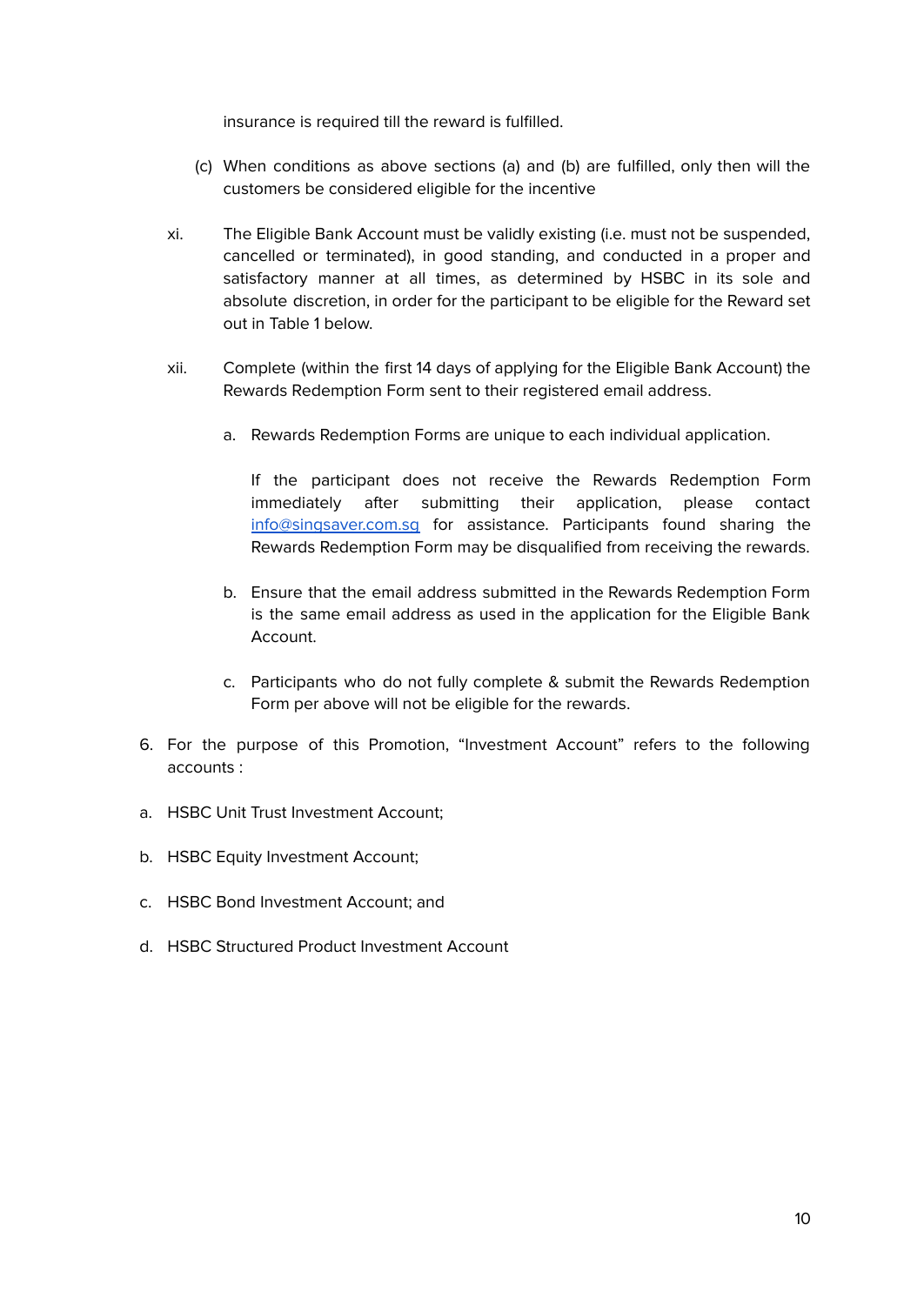insurance is required till the reward is fulfilled.

- (c) When conditions as above sections (a) and (b) are fulfilled, only then will the customers be considered eligible for the incentive
- xi. The Eligible Bank Account must be validly existing (i.e. must not be suspended, cancelled or terminated), in good standing, and conducted in a proper and satisfactory manner at all times, as determined by HSBC in its sole and absolute discretion, in order for the participant to be eligible for the Reward set out in Table 1 below.
- xii. Complete (within the first 14 days of applying for the Eligible Bank Account) the Rewards Redemption Form sent to their registered email address.
	- a. Rewards Redemption Forms are unique to each individual application.

If the participant does not receive the Rewards Redemption Form immediately after submitting their application, please contact [info@singsaver.com.sg](mailto:info@singsaver.com.sg) for assistance. Participants found sharing the Rewards Redemption Form may be disqualified from receiving the rewards.

- b. Ensure that the email address submitted in the Rewards Redemption Form is the same email address as used in the application for the Eligible Bank Account.
- c. Participants who do not fully complete & submit the Rewards Redemption Form per above will not be eligible for the rewards.
- 6. For the purpose of this Promotion, "Investment Account" refers to the following accounts :
- a. HSBC Unit Trust Investment Account;
- b. HSBC Equity Investment Account:
- c. HSBC Bond Investment Account; and
- d. HSBC Structured Product Investment Account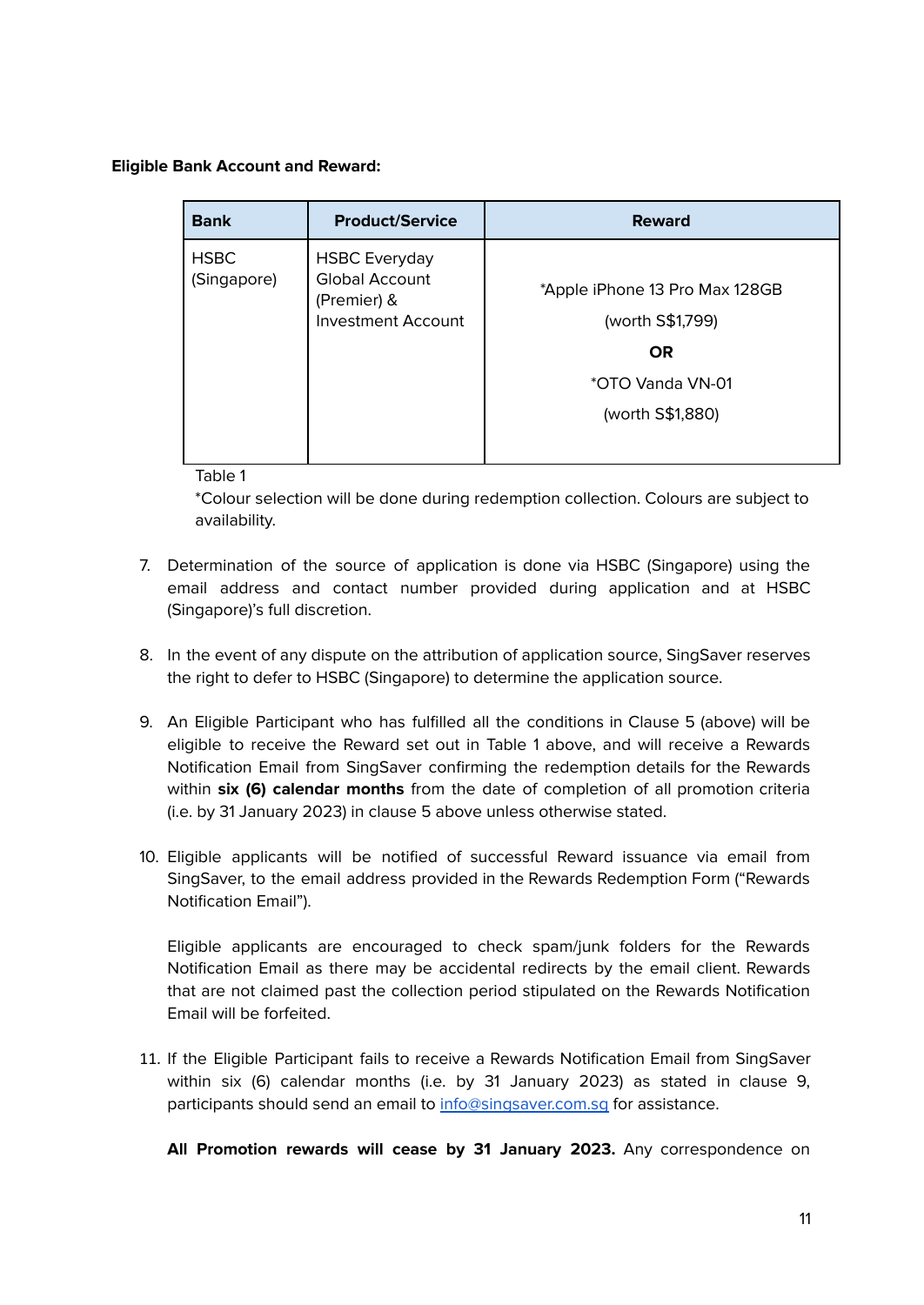#### **Eligible Bank Account and Reward:**

| <b>Bank</b>                | <b>Product/Service</b>                                                                    | <b>Reward</b>                                                                                           |
|----------------------------|-------------------------------------------------------------------------------------------|---------------------------------------------------------------------------------------------------------|
| <b>HSBC</b><br>(Singapore) | <b>HSBC Everyday</b><br><b>Global Account</b><br>(Premier) &<br><b>Investment Account</b> | *Apple iPhone 13 Pro Max 128GB<br>(worth S\$1,799)<br><b>OR</b><br>*OTO Vanda VN-01<br>(worth S\$1,880) |

Table 1

\*Colour selection will be done during redemption collection. Colours are subject to availability.

- 7. Determination of the source of application is done via HSBC (Singapore) using the email address and contact number provided during application and at HSBC (Singapore)'s full discretion.
- 8. In the event of any dispute on the attribution of application source, SingSaver reserves the right to defer to HSBC (Singapore) to determine the application source.
- 9. An Eligible Participant who has fulfilled all the conditions in Clause 5 (above) will be eligible to receive the Reward set out in Table 1 above, and will receive a Rewards Notification Email from SingSaver confirming the redemption details for the Rewards within **six (6) calendar months** from the date of completion of all promotion criteria (i.e. by 31 January 2023) in clause 5 above unless otherwise stated.
- 10. Eligible applicants will be notified of successful Reward issuance via email from SingSaver, to the email address provided in the Rewards Redemption Form ("Rewards Notification Email").

Eligible applicants are encouraged to check spam/junk folders for the Rewards Notification Email as there may be accidental redirects by the email client. Rewards that are not claimed past the collection period stipulated on the Rewards Notification Email will be forfeited.

11. If the Eligible Participant fails to receive a Rewards Notification Email from SingSaver within six (6) calendar months (i.e. by 31 January 2023) as stated in clause 9, participants should send an email to [info@singsaver.com.sg](mailto:info@singsaver.com.sg) for assistance.

**All Promotion rewards will cease by 31 January 2023.** Any correspondence on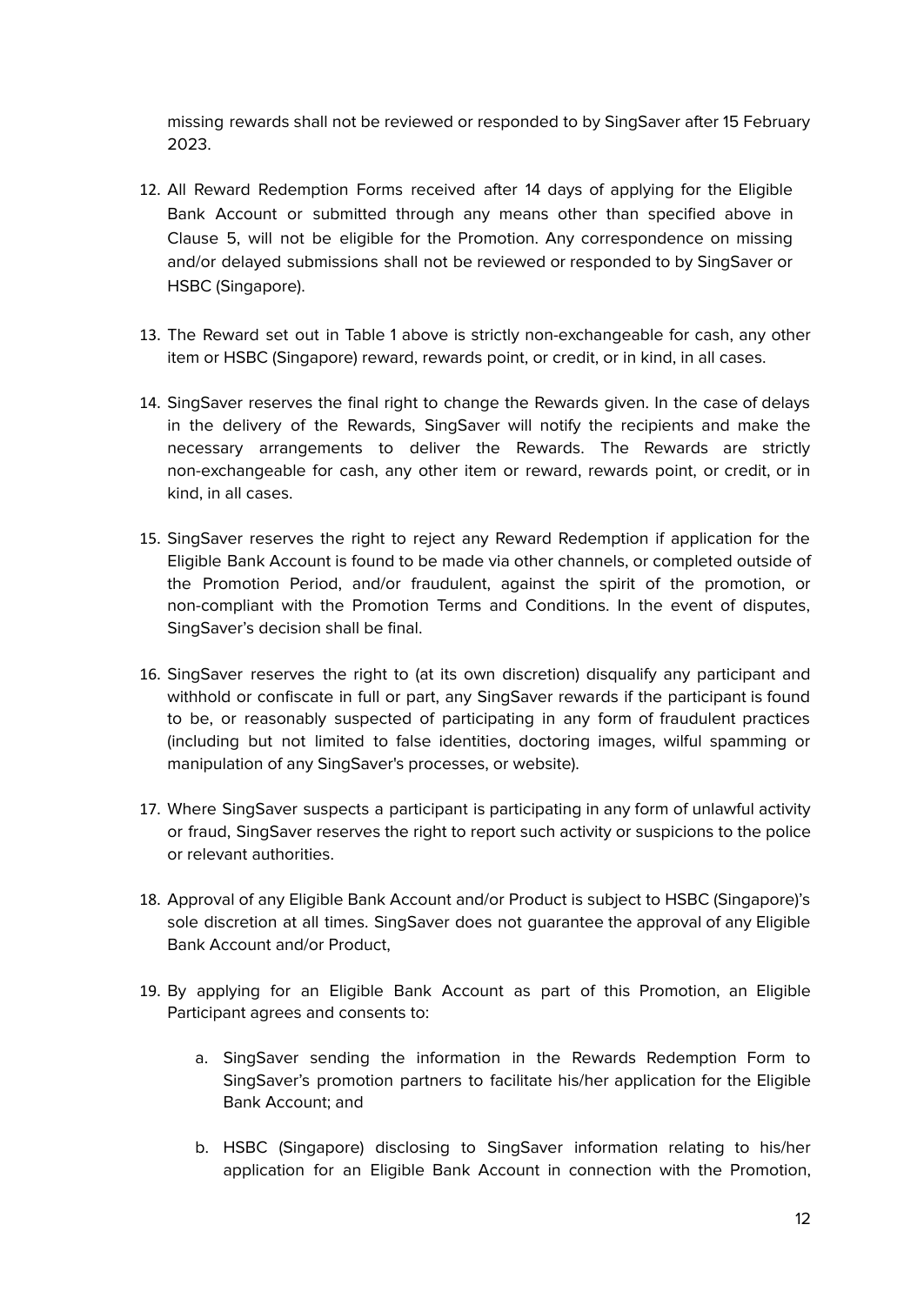missing rewards shall not be reviewed or responded to by SingSaver after 15 February 2023.

- 12. All Reward Redemption Forms received after 14 days of applying for the Eligible Bank Account or submitted through any means other than specified above in Clause 5, will not be eligible for the Promotion. Any correspondence on missing and/or delayed submissions shall not be reviewed or responded to by SingSaver or HSBC (Singapore).
- 13. The Reward set out in Table 1 above is strictly non-exchangeable for cash, any other item or HSBC (Singapore) reward, rewards point, or credit, or in kind, in all cases.
- 14. SingSaver reserves the final right to change the Rewards given. In the case of delays in the delivery of the Rewards, SingSaver will notify the recipients and make the necessary arrangements to deliver the Rewards. The Rewards are strictly non-exchangeable for cash, any other item or reward, rewards point, or credit, or in kind, in all cases.
- 15. SingSaver reserves the right to reject any Reward Redemption if application for the Eligible Bank Account is found to be made via other channels, or completed outside of the Promotion Period, and/or fraudulent, against the spirit of the promotion, or non-compliant with the Promotion Terms and Conditions. In the event of disputes, SingSaver's decision shall be final.
- 16. SingSaver reserves the right to (at its own discretion) disqualify any participant and withhold or confiscate in full or part, any SingSaver rewards if the participant is found to be, or reasonably suspected of participating in any form of fraudulent practices (including but not limited to false identities, doctoring images, wilful spamming or manipulation of any SingSaver's processes, or website).
- 17. Where SingSaver suspects a participant is participating in any form of unlawful activity or fraud, SingSaver reserves the right to report such activity or suspicions to the police or relevant authorities.
- 18. Approval of any Eligible Bank Account and/or Product is subject to HSBC (Singapore)'s sole discretion at all times. SingSaver does not guarantee the approval of any Eligible Bank Account and/or Product,
- 19. By applying for an Eligible Bank Account as part of this Promotion, an Eligible Participant agrees and consents to:
	- a. SingSaver sending the information in the Rewards Redemption Form to SingSaver's promotion partners to facilitate his/her application for the Eligible Bank Account; and
	- b. HSBC (Singapore) disclosing to SingSaver information relating to his/her application for an Eligible Bank Account in connection with the Promotion,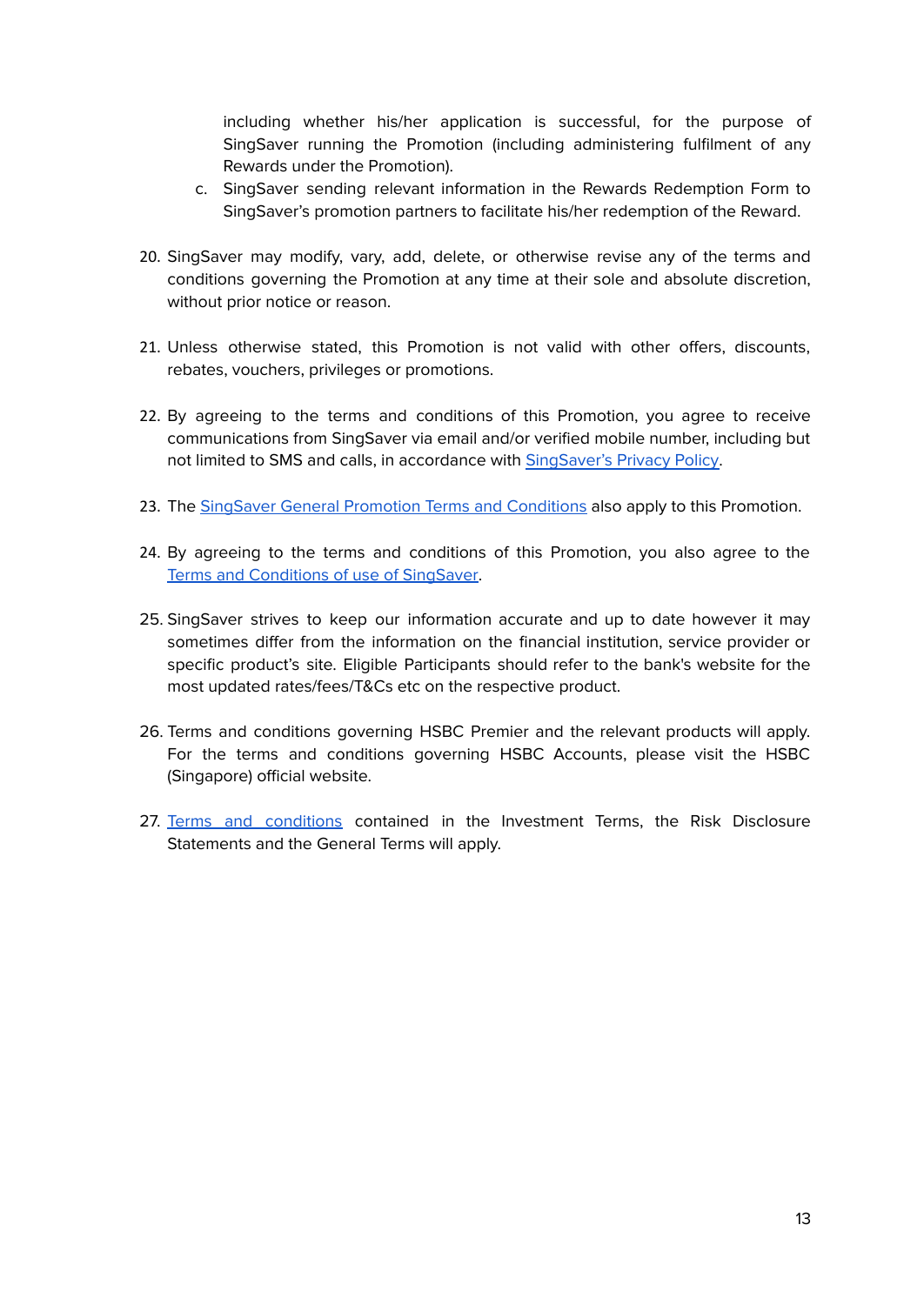including whether his/her application is successful, for the purpose of SingSaver running the Promotion (including administering fulfilment of any Rewards under the Promotion).

- c. SingSaver sending relevant information in the Rewards Redemption Form to SingSaver's promotion partners to facilitate his/her redemption of the Reward.
- 20. SingSaver may modify, vary, add, delete, or otherwise revise any of the terms and conditions governing the Promotion at any time at their sole and absolute discretion, without prior notice or reason.
- 21. Unless otherwise stated, this Promotion is not valid with other offers, discounts, rebates, vouchers, privileges or promotions.
- 22. By agreeing to the terms and conditions of this Promotion, you agree to receive communications from SingSaver via email and/or verified mobile number, including but not limited to SMS and calls, in accordance with [SingSaver's](https://www.singsaver.com.sg/privacy-policy) Privacy Policy.
- 23. The SingSaver General Promotion Terms and [Conditions](#page-13-0) also apply to this Promotion.
- 24. By agreeing to the terms and conditions of this Promotion, you also agree to the Terms and [Conditions](https://www.singsaver.com.sg/terms) of use of SingSaver.
- 25. SingSaver strives to keep our information accurate and up to date however it may sometimes differ from the information on the financial institution, service provider or specific product's site. Eligible Participants should refer to the bank's website for the most updated rates/fees/T&Cs etc on the respective product.
- 26. Terms and conditions governing HSBC Premier and the relevant products will apply. For the terms and conditions governing HSBC Accounts, please visit the HSBC (Singapore) official website.
- 27. Terms and [conditions](https://assets.contentstack.io/v3/assets/bltc05b5aa7ae1c3a47/blt03c3169fc74eda5d/61e7a9c4086e4f73bba5fa88/investment-account-opening-booklet.pdf) contained in the Investment Terms, the Risk Disclosure Statements and the General Terms will apply.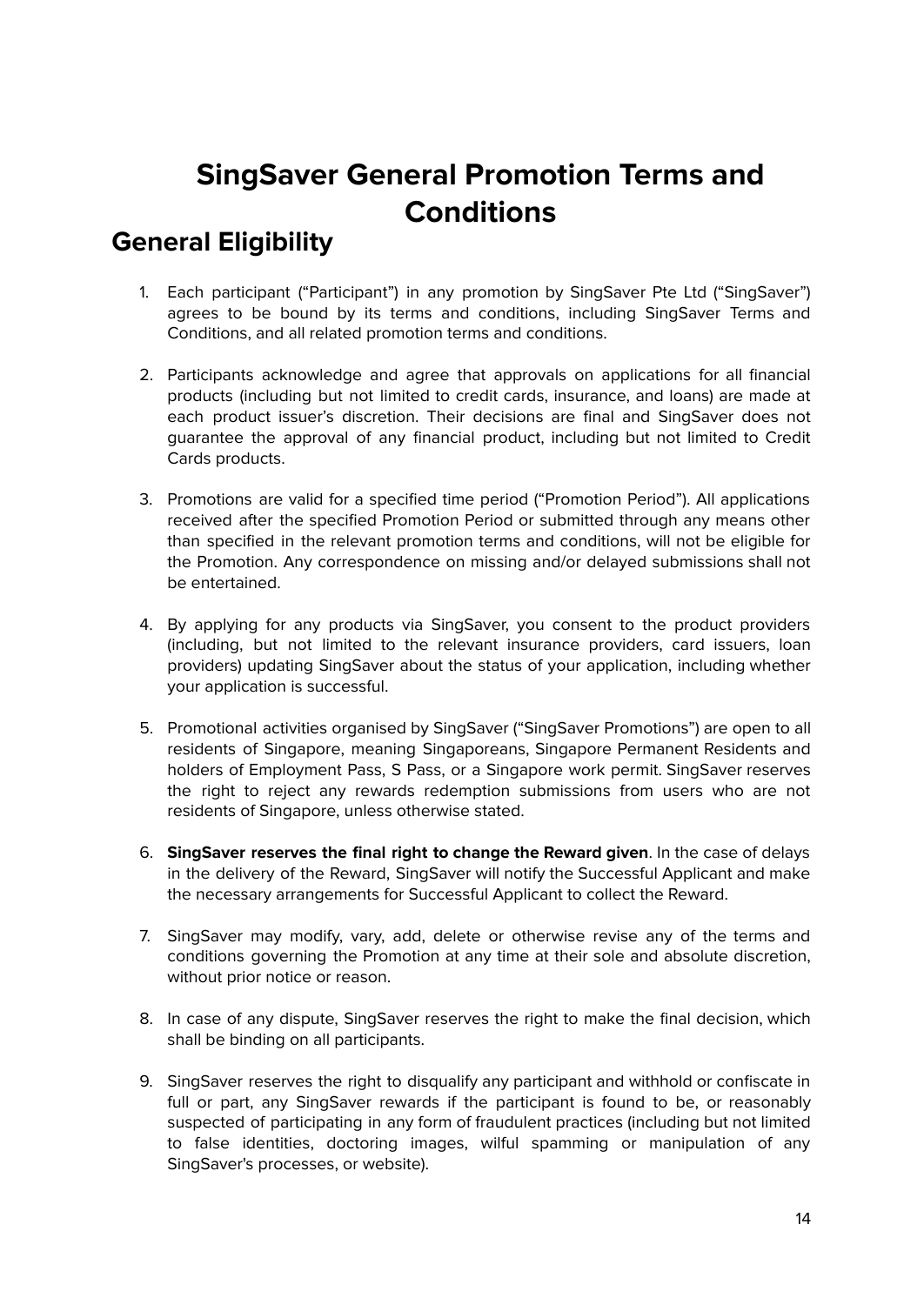## **SingSaver General Promotion Terms and Conditions**

## <span id="page-13-1"></span><span id="page-13-0"></span>**General Eligibility**

- 1. Each participant ("Participant") in any promotion by SingSaver Pte Ltd ("SingSaver") agrees to be bound by its terms and conditions, including SingSaver Terms and Conditions, and all related promotion terms and conditions.
- 2. Participants acknowledge and agree that approvals on applications for all financial products (including but not limited to credit cards, insurance, and loans) are made at each product issuer's discretion. Their decisions are final and SingSaver does not guarantee the approval of any financial product, including but not limited to Credit Cards products.
- 3. Promotions are valid for a specified time period ("Promotion Period"). All applications received after the specified Promotion Period or submitted through any means other than specified in the relevant promotion terms and conditions, will not be eligible for the Promotion. Any correspondence on missing and/or delayed submissions shall not be entertained.
- 4. By applying for any products via SingSaver, you consent to the product providers (including, but not limited to the relevant insurance providers, card issuers, loan providers) updating SingSaver about the status of your application, including whether your application is successful.
- 5. Promotional activities organised by SingSaver ("SingSaver Promotions") are open to all residents of Singapore, meaning Singaporeans, Singapore Permanent Residents and holders of Employment Pass, S Pass, or a Singapore work permit. SingSaver reserves the right to reject any rewards redemption submissions from users who are not residents of Singapore, unless otherwise stated.
- 6. **SingSaver reserves the final right to change the Reward given**. In the case of delays in the delivery of the Reward, SingSaver will notify the Successful Applicant and make the necessary arrangements for Successful Applicant to collect the Reward.
- 7. SingSaver may modify, vary, add, delete or otherwise revise any of the terms and conditions governing the Promotion at any time at their sole and absolute discretion, without prior notice or reason.
- 8. In case of any dispute, SingSaver reserves the right to make the final decision, which shall be binding on all participants.
- 9. SingSaver reserves the right to disqualify any participant and withhold or confiscate in full or part, any SingSaver rewards if the participant is found to be, or reasonably suspected of participating in any form of fraudulent practices (including but not limited to false identities, doctoring images, wilful spamming or manipulation of any SingSaver's processes, or website).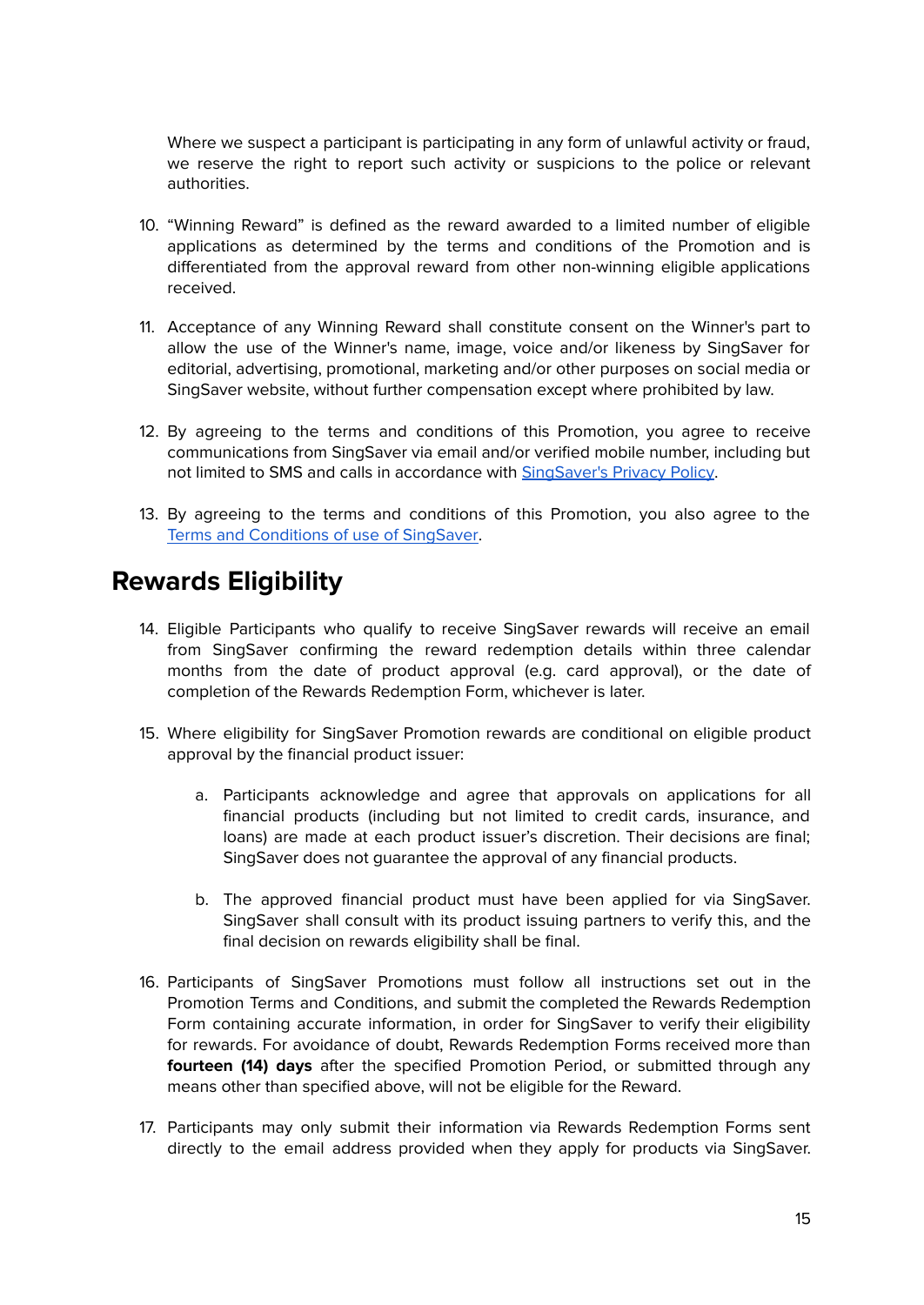Where we suspect a participant is participating in any form of unlawful activity or fraud, we reserve the right to report such activity or suspicions to the police or relevant authorities.

- 10. "Winning Reward" is defined as the reward awarded to a limited number of eligible applications as determined by the terms and conditions of the Promotion and is differentiated from the approval reward from other non-winning eligible applications received.
- 11. Acceptance of any Winning Reward shall constitute consent on the Winner's part to allow the use of the Winner's name, image, voice and/or likeness by SingSaver for editorial, advertising, promotional, marketing and/or other purposes on social media or SingSaver website, without further compensation except where prohibited by law.
- 12. By agreeing to the terms and conditions of this Promotion, you agree to receive communications from SingSaver via email and/or verified mobile number, including but not limited to SMS and calls in accordance with [SingSaver's](https://www.singsaver.com.sg/privacy-policy) Privacy Policy.
- 13. By agreeing to the terms and conditions of this Promotion, you also agree to the Terms and [Conditions](https://www.singsaver.com.sg/terms) of use of SingSaver.

### <span id="page-14-0"></span>**Rewards Eligibility**

- 14. Eligible Participants who qualify to receive SingSaver rewards will receive an email from SingSaver confirming the reward redemption details within three calendar months from the date of product approval (e.g. card approval), or the date of completion of the Rewards Redemption Form, whichever is later.
- 15. Where eligibility for SingSaver Promotion rewards are conditional on eligible product approval by the financial product issuer:
	- a. Participants acknowledge and agree that approvals on applications for all financial products (including but not limited to credit cards, insurance, and loans) are made at each product issuer's discretion. Their decisions are final; SingSaver does not guarantee the approval of any financial products.
	- b. The approved financial product must have been applied for via SingSaver. SingSaver shall consult with its product issuing partners to verify this, and the final decision on rewards eligibility shall be final.
- 16. Participants of SingSaver Promotions must follow all instructions set out in the Promotion Terms and Conditions, and submit the completed the Rewards Redemption Form containing accurate information, in order for SingSaver to verify their eligibility for rewards. For avoidance of doubt, Rewards Redemption Forms received more than **fourteen (14) days** after the specified Promotion Period, or submitted through any means other than specified above, will not be eligible for the Reward.
- 17. Participants may only submit their information via Rewards Redemption Forms sent directly to the email address provided when they apply for products via SingSaver.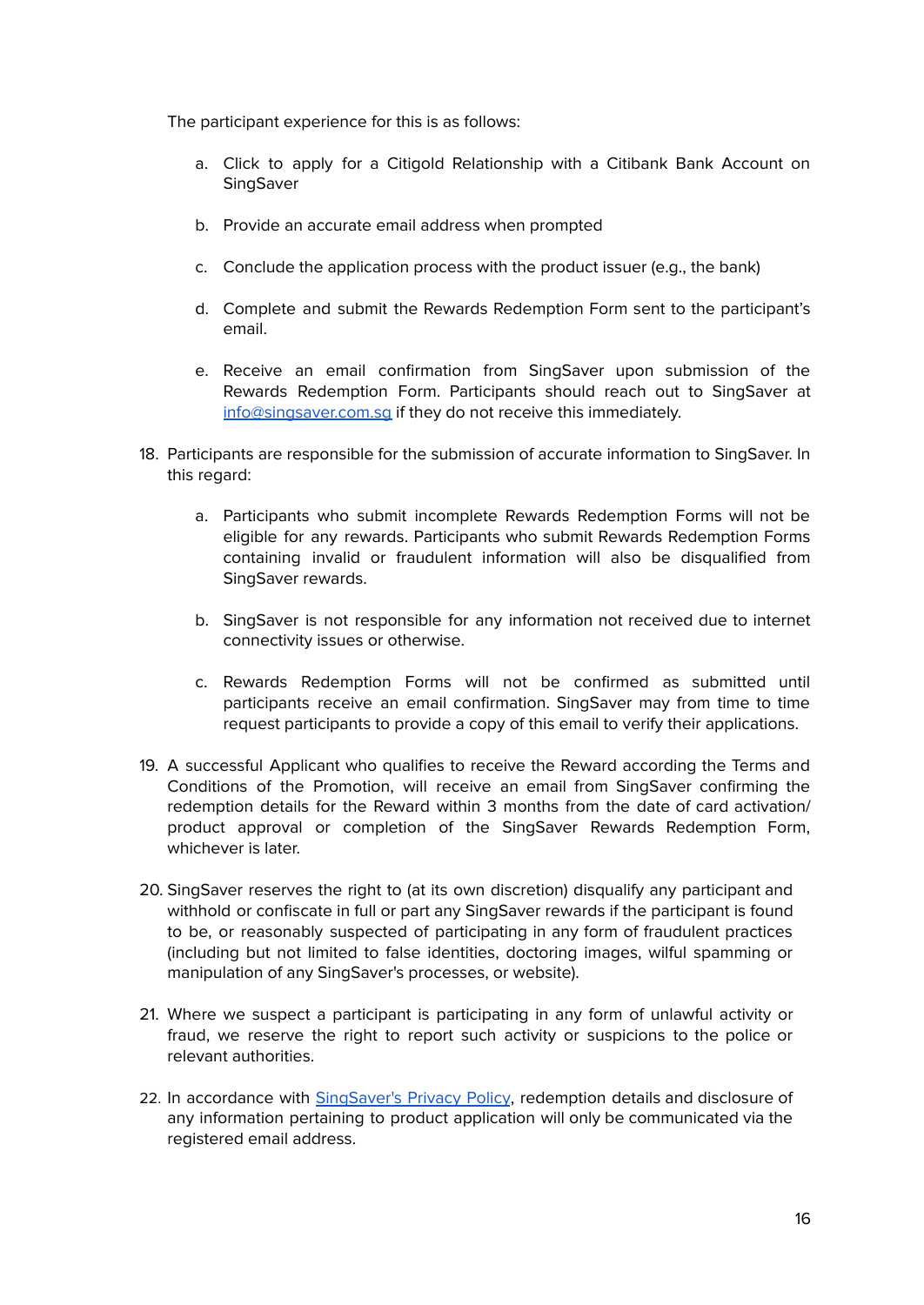The participant experience for this is as follows:

- a. Click to apply for a Citigold Relationship with a Citibank Bank Account on SingSaver
- b. Provide an accurate email address when prompted
- c. Conclude the application process with the product issuer (e.g., the bank)
- d. Complete and submit the Rewards Redemption Form sent to the participant's email.
- e. Receive an email confirmation from SingSaver upon submission of the Rewards Redemption Form. Participants should reach out to SingSaver at [info@singsaver.com.sg](mailto:info@singsaver.com.sg) if they do not receive this immediately.
- 18. Participants are responsible for the submission of accurate information to SingSaver. In this regard:
	- a. Participants who submit incomplete Rewards Redemption Forms will not be eligible for any rewards. Participants who submit Rewards Redemption Forms containing invalid or fraudulent information will also be disqualified from SingSaver rewards.
	- b. SingSaver is not responsible for any information not received due to internet connectivity issues or otherwise.
	- c. Rewards Redemption Forms will not be confirmed as submitted until participants receive an email confirmation. SingSaver may from time to time request participants to provide a copy of this email to verify their applications.
- 19. A successful Applicant who qualifies to receive the Reward according the Terms and Conditions of the Promotion, will receive an email from SingSaver confirming the redemption details for the Reward within 3 months from the date of card activation/ product approval or completion of the SingSaver Rewards Redemption Form, whichever is later.
- 20. SingSaver reserves the right to (at its own discretion) disqualify any participant and withhold or confiscate in full or part any SingSaver rewards if the participant is found to be, or reasonably suspected of participating in any form of fraudulent practices (including but not limited to false identities, doctoring images, wilful spamming or manipulation of any SingSaver's processes, or website).
- 21. Where we suspect a participant is participating in any form of unlawful activity or fraud, we reserve the right to report such activity or suspicions to the police or relevant authorities.
- 22. In accordance with [SingSaver's](https://www.singsaver.com.sg/privacy-policy) Privacy Policy, redemption details and disclosure of any information pertaining to product application will only be communicated via the registered email address.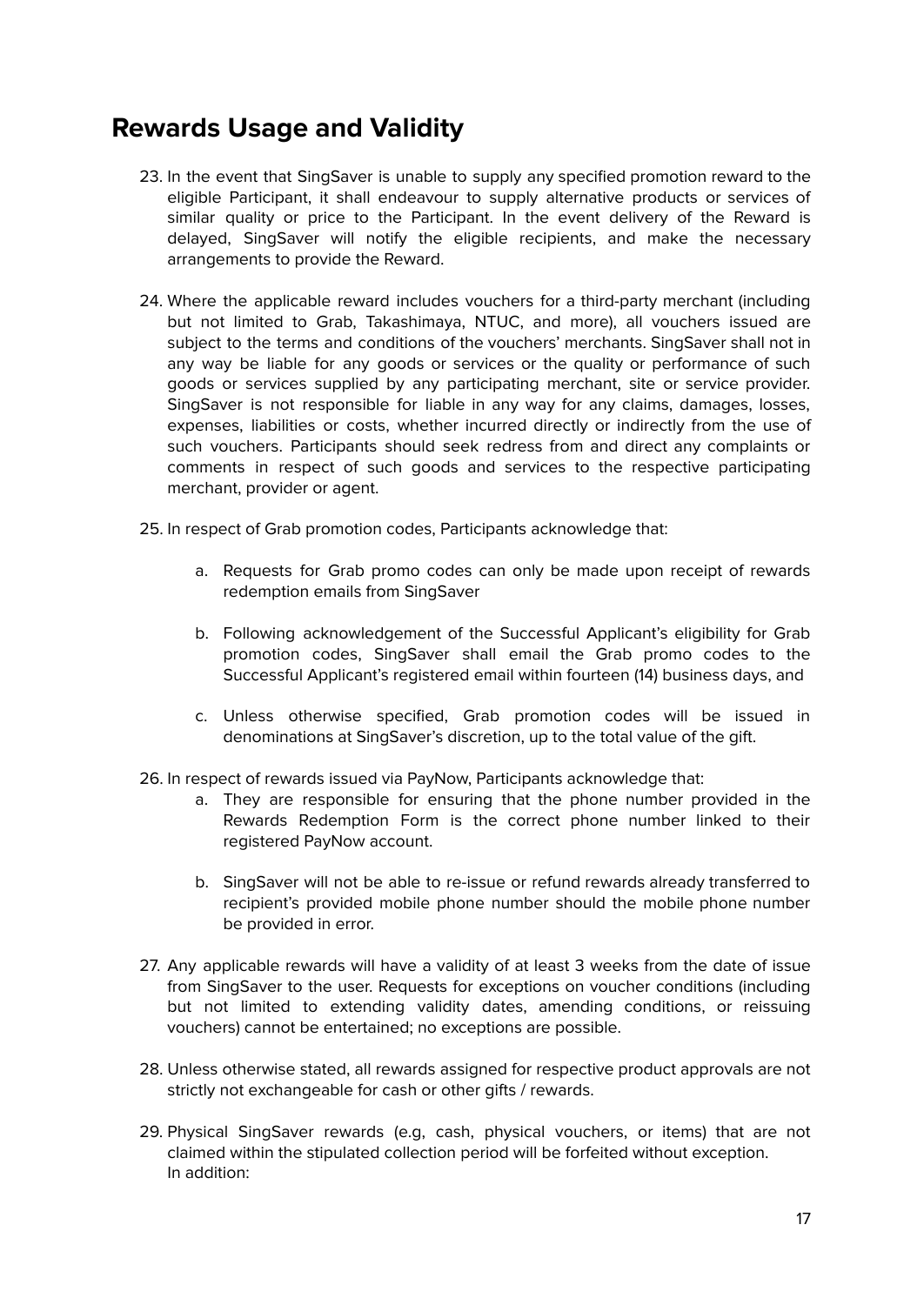### <span id="page-16-0"></span>**Rewards Usage and Validity**

- 23. In the event that SingSaver is unable to supply any specified promotion reward to the eligible Participant, it shall endeavour to supply alternative products or services of similar quality or price to the Participant. In the event delivery of the Reward is delayed, SingSaver will notify the eligible recipients, and make the necessary arrangements to provide the Reward.
- 24. Where the applicable reward includes vouchers for a third-party merchant (including but not limited to Grab, Takashimaya, NTUC, and more), all vouchers issued are subject to the terms and conditions of the vouchers' merchants. SingSaver shall not in any way be liable for any goods or services or the quality or performance of such goods or services supplied by any participating merchant, site or service provider. SingSaver is not responsible for liable in any way for any claims, damages, losses, expenses, liabilities or costs, whether incurred directly or indirectly from the use of such vouchers. Participants should seek redress from and direct any complaints or comments in respect of such goods and services to the respective participating merchant, provider or agent.
- 25. In respect of Grab promotion codes, Participants acknowledge that:
	- a. Requests for Grab promo codes can only be made upon receipt of rewards redemption emails from SingSaver
	- b. Following acknowledgement of the Successful Applicant's eligibility for Grab promotion codes, SingSaver shall email the Grab promo codes to the Successful Applicant's registered email within fourteen (14) business days, and
	- c. Unless otherwise specified, Grab promotion codes will be issued in denominations at SingSaver's discretion, up to the total value of the gift.
- 26. In respect of rewards issued via PayNow, Participants acknowledge that:
	- a. They are responsible for ensuring that the phone number provided in the Rewards Redemption Form is the correct phone number linked to their registered PayNow account.
	- b. SingSaver will not be able to re-issue or refund rewards already transferred to recipient's provided mobile phone number should the mobile phone number be provided in error.
- 27. Any applicable rewards will have a validity of at least 3 weeks from the date of issue from SingSaver to the user. Requests for exceptions on voucher conditions (including but not limited to extending validity dates, amending conditions, or reissuing vouchers) cannot be entertained; no exceptions are possible.
- 28. Unless otherwise stated, all rewards assigned for respective product approvals are not strictly not exchangeable for cash or other gifts / rewards.
- 29. Physical SingSaver rewards (e.g, cash, physical vouchers, or items) that are not claimed within the stipulated collection period will be forfeited without exception. In addition: